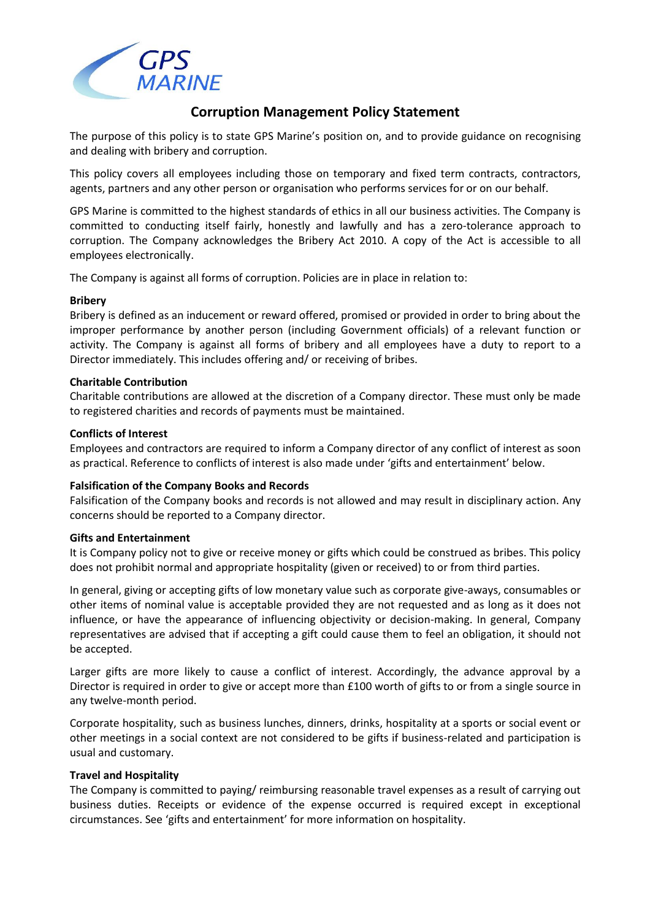

# **Corruption Management Policy Statement**

The purpose of this policy is to state GPS Marine's position on, and to provide guidance on recognising and dealing with bribery and corruption.

This policy covers all employees including those on temporary and fixed term contracts, contractors, agents, partners and any other person or organisation who performs services for or on our behalf.

GPS Marine is committed to the highest standards of ethics in all our business activities. The Company is committed to conducting itself fairly, honestly and lawfully and has a zero-tolerance approach to corruption. The Company acknowledges the Bribery Act 2010. A copy of the Act is accessible to all employees electronically.

The Company is against all forms of corruption. Policies are in place in relation to:

# **Bribery**

Bribery is defined as an inducement or reward offered, promised or provided in order to bring about the improper performance by another person (including Government officials) of a relevant function or activity. The Company is against all forms of bribery and all employees have a duty to report to a Director immediately. This includes offering and/ or receiving of bribes.

# **Charitable Contribution**

Charitable contributions are allowed at the discretion of a Company director. These must only be made to registered charities and records of payments must be maintained.

# **Conflicts of Interest**

Employees and contractors are required to inform a Company director of any conflict of interest as soon as practical. Reference to conflicts of interest is also made under 'gifts and entertainment' below.

# **Falsification of the Company Books and Records**

Falsification of the Company books and records is not allowed and may result in disciplinary action. Any concerns should be reported to a Company director.

# **Gifts and Entertainment**

It is Company policy not to give or receive money or gifts which could be construed as bribes. This policy does not prohibit normal and appropriate hospitality (given or received) to or from third parties.

In general, giving or accepting gifts of low monetary value such as corporate give-aways, consumables or other items of nominal value is acceptable provided they are not requested and as long as it does not influence, or have the appearance of influencing objectivity or decision-making. In general, Company representatives are advised that if accepting a gift could cause them to feel an obligation, it should not be accepted.

Larger gifts are more likely to cause a conflict of interest. Accordingly, the advance approval by a Director is required in order to give or accept more than £100 worth of gifts to or from a single source in any twelve-month period.

Corporate hospitality, such as business lunches, dinners, drinks, hospitality at a sports or social event or other meetings in a social context are not considered to be gifts if business-related and participation is usual and customary.

# **Travel and Hospitality**

The Company is committed to paying/ reimbursing reasonable travel expenses as a result of carrying out business duties. Receipts or evidence of the expense occurred is required except in exceptional circumstances. See 'gifts and entertainment' for more information on hospitality.